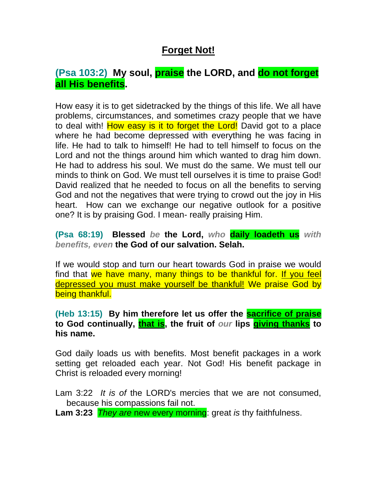## **Forget Not!**

## **(Psa 103:2) My soul, praise the LORD, and do not forget all His benefits.**

How easy it is to get sidetracked by the things of this life. We all have problems, circumstances, and sometimes crazy people that we have to deal with! How easy is it to forget the Lord! David got to a place where he had become depressed with everything he was facing in life. He had to talk to himself! He had to tell himself to focus on the Lord and not the things around him which wanted to drag him down. He had to address his soul. We must do the same. We must tell our minds to think on God. We must tell ourselves it is time to praise God! David realized that he needed to focus on all the benefits to serving God and not the negatives that were trying to crowd out the joy in His heart. How can we exchange our negative outlook for a positive one? It is by praising God. I mean- really praising Him.

**(Psa 68:19) Blessed** *be* **the Lord,** *who* **daily loadeth us** *with benefits, even* **the God of our salvation. Selah.**

If we would stop and turn our heart towards God in praise we would find that we have many, many things to be thankful for. If you feel depressed you must make yourself be thankful! We praise God by being thankful.

**(Heb 13:15) By him therefore let us offer the sacrifice of praise to God continually, that is, the fruit of** *our* **lips giving thanks to his name.**

God daily loads us with benefits. Most benefit packages in a work setting get reloaded each year. Not God! His benefit package in Christ is reloaded every morning!

Lam 3:22 *It is of* the LORD's mercies that we are not consumed, because his compassions fail not.

**Lam 3:23** *They are* new every morning: great *is* thy faithfulness.